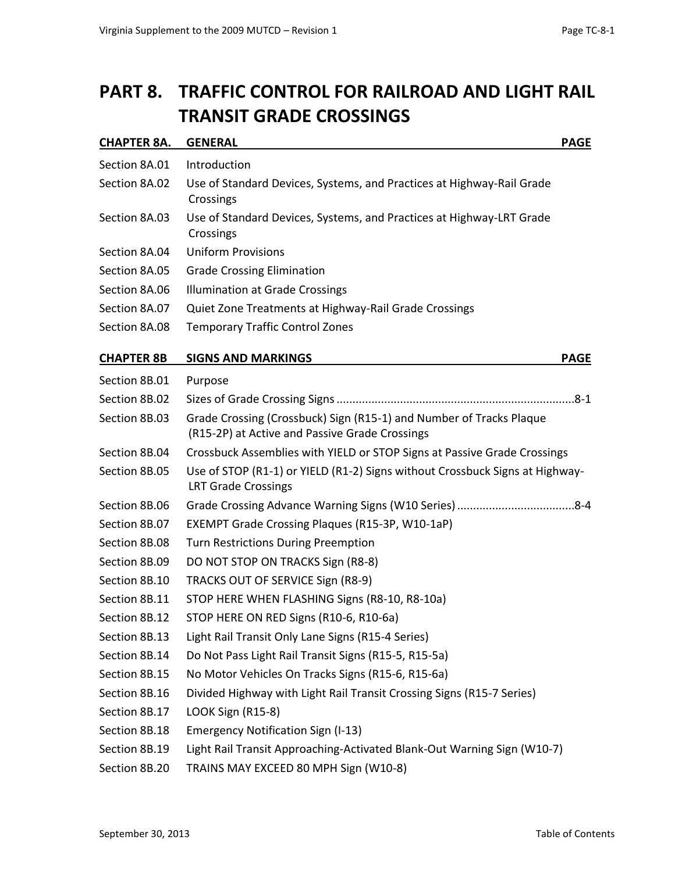## **PART 8. TRAFFIC CONTROL FOR RAILROAD AND LIGHT RAIL TRANSIT GRADE CROSSINGS**

| CHAPTER 8A.       | <b>GENERAL</b><br><b>PAGE</b>                                                                                         |
|-------------------|-----------------------------------------------------------------------------------------------------------------------|
| Section 8A.01     | Introduction                                                                                                          |
| Section 8A.02     | Use of Standard Devices, Systems, and Practices at Highway-Rail Grade<br>Crossings                                    |
| Section 8A.03     | Use of Standard Devices, Systems, and Practices at Highway-LRT Grade<br>Crossings                                     |
| Section 8A.04     | <b>Uniform Provisions</b>                                                                                             |
| Section 8A.05     | <b>Grade Crossing Elimination</b>                                                                                     |
| Section 8A.06     | <b>Illumination at Grade Crossings</b>                                                                                |
| Section 8A.07     | Quiet Zone Treatments at Highway-Rail Grade Crossings                                                                 |
| Section 8A.08     | <b>Temporary Traffic Control Zones</b>                                                                                |
| <b>CHAPTER 8B</b> | <b>SIGNS AND MARKINGS</b><br><b>PAGE</b>                                                                              |
| Section 8B.01     | Purpose                                                                                                               |
| Section 8B.02     |                                                                                                                       |
| Section 8B.03     | Grade Crossing (Crossbuck) Sign (R15-1) and Number of Tracks Plaque<br>(R15-2P) at Active and Passive Grade Crossings |
| Section 8B.04     | Crossbuck Assemblies with YIELD or STOP Signs at Passive Grade Crossings                                              |
| Section 8B.05     | Use of STOP (R1-1) or YIELD (R1-2) Signs without Crossbuck Signs at Highway-<br><b>LRT Grade Crossings</b>            |
| Section 8B.06     |                                                                                                                       |
| Section 8B.07     | EXEMPT Grade Crossing Plaques (R15-3P, W10-1aP)                                                                       |
| Section 8B.08     | <b>Turn Restrictions During Preemption</b>                                                                            |
| Section 8B.09     | DO NOT STOP ON TRACKS Sign (R8-8)                                                                                     |
| Section 8B.10     | TRACKS OUT OF SERVICE Sign (R8-9)                                                                                     |
| Section 8B.11     | STOP HERE WHEN FLASHING Signs (R8-10, R8-10a)                                                                         |
| Section 8B.12     | STOP HERE ON RED Signs (R10-6, R10-6a)                                                                                |
| Section 8B.13     | Light Rail Transit Only Lane Signs (R15-4 Series)                                                                     |
| Section 8B.14     | Do Not Pass Light Rail Transit Signs (R15-5, R15-5a)                                                                  |
| Section 8B.15     | No Motor Vehicles On Tracks Signs (R15-6, R15-6a)                                                                     |
| Section 8B.16     | Divided Highway with Light Rail Transit Crossing Signs (R15-7 Series)                                                 |
| Section 8B.17     | LOOK Sign (R15-8)                                                                                                     |
| Section 8B.18     | <b>Emergency Notification Sign (I-13)</b>                                                                             |
| Section 8B.19     | Light Rail Transit Approaching-Activated Blank-Out Warning Sign (W10-7)                                               |
| Section 8B.20     | TRAINS MAY EXCEED 80 MPH Sign (W10-8)                                                                                 |
|                   |                                                                                                                       |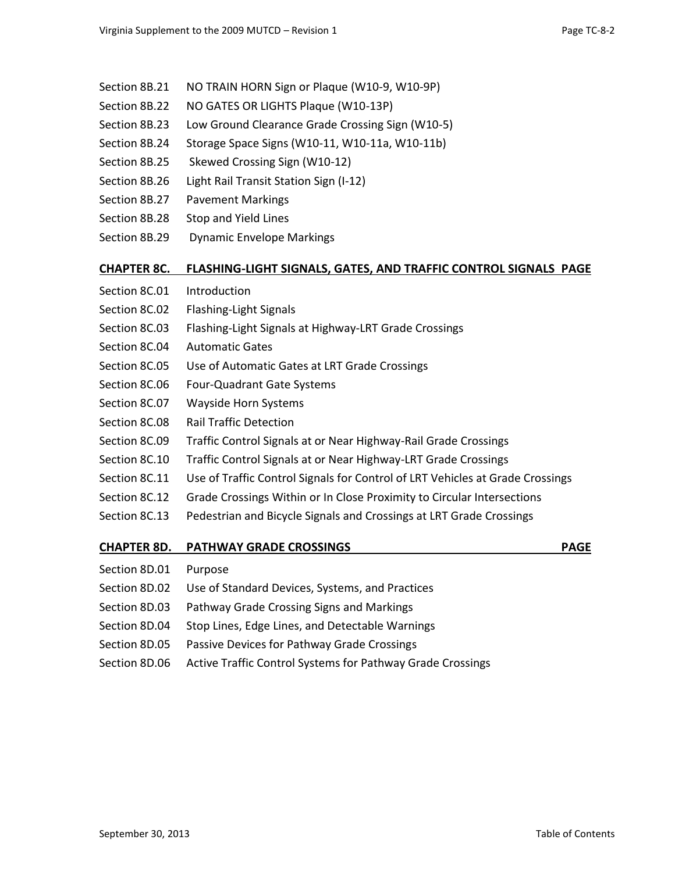- Section 8B.21 NO TRAIN HORN Sign or Plaque (W10-9, W10-9P)
- Section 8B.22 NO GATES OR LIGHTS Plaque (W10-13P)
- Section 8B.23 Low Ground Clearance Grade Crossing Sign (W10-5)
- Section 8B.24 Storage Space Signs (W10-11, W10-11a, W10-11b)
- Section 8B.25 Skewed Crossing Sign (W10-12)
- Section 8B.26 Light Rail Transit Station Sign (I-12)
- Section 8B.27 Pavement Markings
- Section 8B.28 Stop and Yield Lines
- Section 8B.29 Dynamic Envelope Markings

#### **[CHAPTER 8C.](http://mutcd.fhwa.dot.gov/htm/2009/part8/part8c.htm) FLASHING-LIGHT SIGNALS, GATES, AND TRAFFIC CONTROL SIGNALS PAGE**

- [Section 8C.01](http://mutcd.fhwa.dot.gov/htm/2009/part8/part8c.htm#section8C01) Introduction [Section 8C.02](http://mutcd.fhwa.dot.gov/htm/2009/part8/part8c.htm#section8C02) Flashing-Light Signals [Section 8C.03](http://mutcd.fhwa.dot.gov/htm/2009/part8/part8c.htm#section8C03) Flashing-Light Signals at Highway-LRT Grade Crossings [Section 8C.04](http://mutcd.fhwa.dot.gov/htm/2009/part8/part8c.htm#section8C04) Automatic Gates [Section 8C.05](http://mutcd.fhwa.dot.gov/htm/2009/part8/part8c.htm#section8C05) Use of Automatic Gates at LRT Grade Crossings [Section 8C.06](http://mutcd.fhwa.dot.gov/htm/2009/part8/part8c.htm#section8C06) Four-Quadrant Gate Systems [Section 8C.07](http://mutcd.fhwa.dot.gov/htm/2009/part8/part8c.htm#section8C07) Wayside Horn Systems [Section 8C.08](http://mutcd.fhwa.dot.gov/htm/2009/part8/part8c.htm#section8C08) Rail Traffic Detection [Section 8C.09](http://mutcd.fhwa.dot.gov/htm/2009/part8/part8c.htm#section8C09) Traffic Control Signals at or Near Highway-Rail Grade Crossings [Section 8C.10](http://mutcd.fhwa.dot.gov/htm/2009/part8/part8c.htm#section8C10) Traffic Control Signals at or Near Highway-LRT Grade Crossings [Section 8C.11](http://mutcd.fhwa.dot.gov/htm/2009/part8/part8c.htm#section8C11) Use of Traffic Control Signals for Control of LRT Vehicles at Grade Crossings [Section 8C.12](http://mutcd.fhwa.dot.gov/htm/2009/part8/part8c.htm#section8C12) Grade Crossings Within or In Close Proximity to Circular Intersections [Section 8C.13](http://mutcd.fhwa.dot.gov/htm/2009/part8/part8c.htm#section8C13) Pedestrian and Bicycle Signals and Crossings at LRT Grade Crossings **[CHAPTER 8D.](http://mutcd.fhwa.dot.gov/htm/2009/part8/part8d.htm) PATHWAY GRADE CROSSINGS PAGE** [Section 8D.01](http://mutcd.fhwa.dot.gov/htm/2009/part8/part8d.htm#section8D01) Purpose [Section 8D.02](http://mutcd.fhwa.dot.gov/htm/2009/part8/part8d.htm#section8D02) Use of Standard Devices, Systems, and Practices [Section 8D.03](http://mutcd.fhwa.dot.gov/htm/2009/part8/part8d.htm#section8D03) Pathway Grade Crossing Signs and Markings [Section 8D.04](http://mutcd.fhwa.dot.gov/htm/2009/part8/part8d.htm#section8D04) Stop Lines, Edge Lines, and Detectable Warnings
- [Section 8D.05](http://mutcd.fhwa.dot.gov/htm/2009/part8/part8d.htm#section8D05) Passive Devices for Pathway Grade Crossings
- [Section 8D.06](http://mutcd.fhwa.dot.gov/htm/2009/part8/part8d.htm#section8D06) Active Traffic Control Systems for Pathway Grade Crossings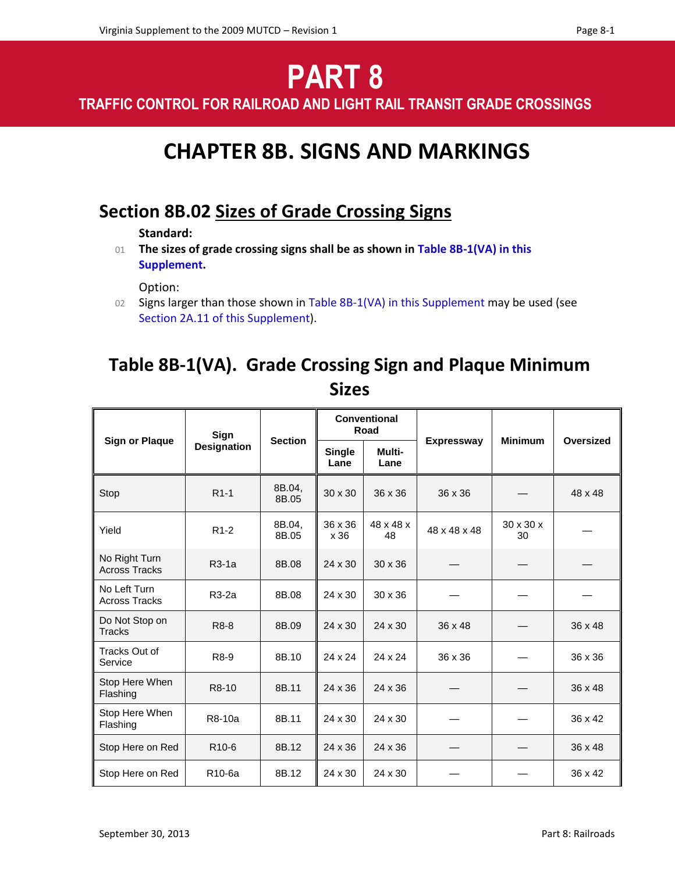# **PART 8**

**TRAFFIC CONTROL FOR RAILROAD AND LIGHT RAIL TRANSIT GRADE CROSSINGS**

# **CHAPTER 8B. SIGNS AND MARKINGS**

### **Section 8B.02 Sizes of Grade Crossing Signs**

**Standard:**

01 **The sizes of grade crossing signs shall be as shown in Table 8B-1(VA) in this Supplement.**

Option:

02 Signs larger than those shown in Table 8B-1(VA) in this Supplement may be used (see Section 2A.11 of this Supplement).

### **Table 8B-1(VA). Grade Crossing Sign and Plaque Minimum Sizes**

| <b>Sign or Plaque</b>                 | Sign<br><b>Designation</b> | <b>Section</b>  | Conventional<br>Road  |                 |                   |                             |                |
|---------------------------------------|----------------------------|-----------------|-----------------------|-----------------|-------------------|-----------------------------|----------------|
|                                       |                            |                 | <b>Single</b><br>Lane | Multi-<br>Lane  | <b>Expressway</b> | <b>Minimum</b>              | Oversized      |
| Stop                                  | $R1-1$                     | 8B.04,<br>8B.05 | $30 \times 30$        | $36 \times 36$  | 36 x 36           |                             | 48 x 48        |
| Yield                                 | $R1-2$                     | 8B.04,<br>8B.05 | 36 x 36<br>x 36       | 48 x 48 x<br>48 | 48 x 48 x 48      | $30 \times 30 \times$<br>30 |                |
| No Right Turn<br><b>Across Tracks</b> | $R3-1a$                    | 8B.08           | 24 x 30               | $30 \times 36$  |                   |                             |                |
| No Left Turn<br><b>Across Tracks</b>  | R3-2a                      | 8B.08           | 24 x 30               | $30 \times 36$  |                   |                             |                |
| Do Not Stop on<br><b>Tracks</b>       | R8-8                       | 8B.09           | 24 x 30               | 24 x 30         | 36 x 48           |                             | 36 x 48        |
| Tracks Out of<br>Service              | R8-9                       | 8B.10           | 24 x 24               | 24 x 24         | 36 x 36           |                             | 36 x 36        |
| Stop Here When<br>Flashing            | R8-10                      | 8B.11           | 24 x 36               | 24 x 36         |                   |                             | $36 \times 48$ |
| Stop Here When<br>Flashing            | R8-10a                     | 8B.11           | 24 x 30               | 24 x 30         |                   |                             | 36 x 42        |
| Stop Here on Red                      | R <sub>10-6</sub>          | 8B.12           | 24 x 36               | 24 x 36         |                   |                             | $36 \times 48$ |
| Stop Here on Red                      | R <sub>10-6a</sub>         | 8B.12           | 24 x 30               | 24 x 30         |                   |                             | 36 x 42        |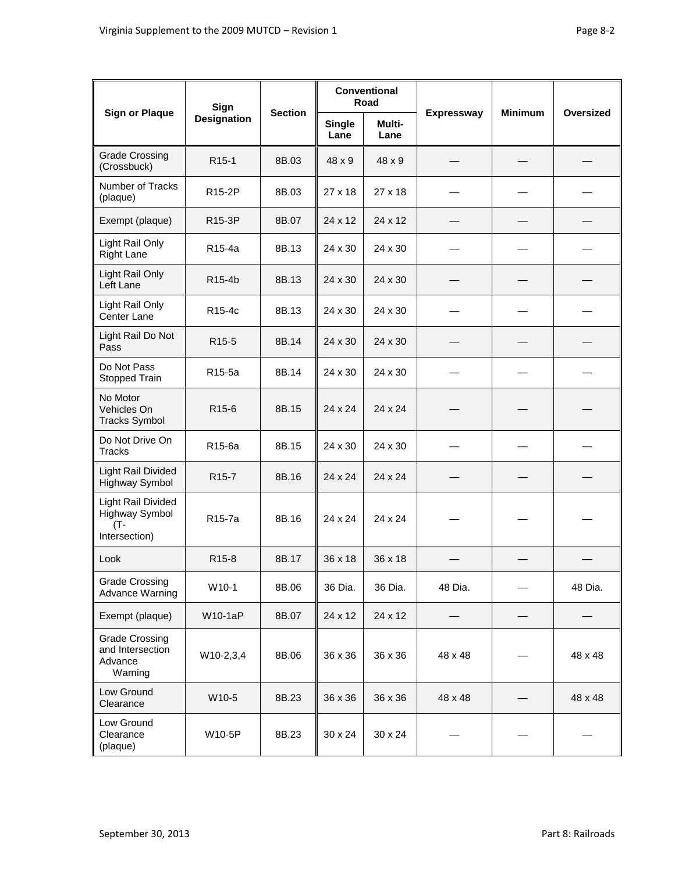| <b>Sign or Plaque</b>                                               | Sign<br><b>Designation</b> | <b>Section</b> | <b>Conventional</b><br>Road |                |                   |                |           |
|---------------------------------------------------------------------|----------------------------|----------------|-----------------------------|----------------|-------------------|----------------|-----------|
|                                                                     |                            |                | <b>Single</b><br>Lane       | Multi-<br>Lane | <b>Expressway</b> | <b>Minimum</b> | Oversized |
| <b>Grade Crossing</b><br>(Crossbuck)                                | R <sub>15-1</sub>          | 8B.03          | 48 x 9                      | 48 x 9         |                   |                |           |
| Number of Tracks<br>(plaque)                                        | R <sub>15-2</sub> P        | 8B.03          | 27 x 18                     | 27 x 18        |                   |                |           |
| Exempt (plaque)                                                     | R15-3P                     | 8B.07          | 24 x 12                     | 24 x 12        |                   |                |           |
| Light Rail Only<br><b>Right Lane</b>                                | R15-4a                     | 8B.13          | 24 x 30                     | 24 x 30        |                   |                |           |
| Light Rail Only<br>Left Lane                                        | R15-4b                     | 8B.13          | 24 x 30                     | 24 x 30        |                   |                |           |
| Light Rail Only<br>Center Lane                                      | R <sub>15-4c</sub>         | 8B.13          | 24 x 30                     | 24 x 30        |                   |                |           |
| Light Rail Do Not<br>Pass                                           | R <sub>15-5</sub>          | 8B.14          | 24 x 30                     | 24 x 30        |                   |                |           |
| Do Not Pass<br>Stopped Train                                        | R15-5a                     | 8B.14          | 24 x 30                     | 24 x 30        |                   |                |           |
| No Motor<br>Vehicles On<br><b>Tracks Symbol</b>                     | R <sub>15-6</sub>          | 8B.15          | 24 x 24                     | 24 x 24        |                   |                |           |
| Do Not Drive On<br><b>Tracks</b>                                    | R15-6a                     | 8B.15          | 24 x 30                     | 24 x 30        |                   |                |           |
| <b>Light Rail Divided</b><br>Highway Symbol                         | R <sub>15</sub> -7         | 8B.16          | 24 x 24                     | 24 x 24        |                   |                |           |
| Light Rail Divided<br><b>Highway Symbol</b><br>(T-<br>Intersection) | R <sub>15</sub> -7a        | 8B.16          | 24 x 24                     | 24 x 24        |                   |                |           |
| Look                                                                | R <sub>15</sub> -8         | 8B.17          | 36 x 18                     | 36 x 18        |                   |                |           |
| <b>Grade Crossing</b><br><b>Advance Warning</b>                     | W10-1                      | 8B.06          | 36 Dia.                     | 36 Dia.        | 48 Dia.           |                | 48 Dia.   |
| Exempt (plaque)                                                     | <b>W10-1aP</b>             | 8B.07          | 24 x 12                     | 24 x 12        |                   |                |           |
| <b>Grade Crossing</b><br>and Intersection<br>Advance<br>Warning     | W10-2,3,4                  | 8B.06          | 36 x 36                     | 36 x 36        | 48 x 48           |                | 48 x 48   |
| Low Ground<br>Clearance                                             | W10-5                      | 8B.23          | 36 x 36                     | 36 x 36        | 48 x 48           |                | 48 x 48   |
| Low Ground<br>Clearance<br>(plaque)                                 | W10-5P                     | 8B.23          | 30 x 24                     | 30 x 24        |                   |                |           |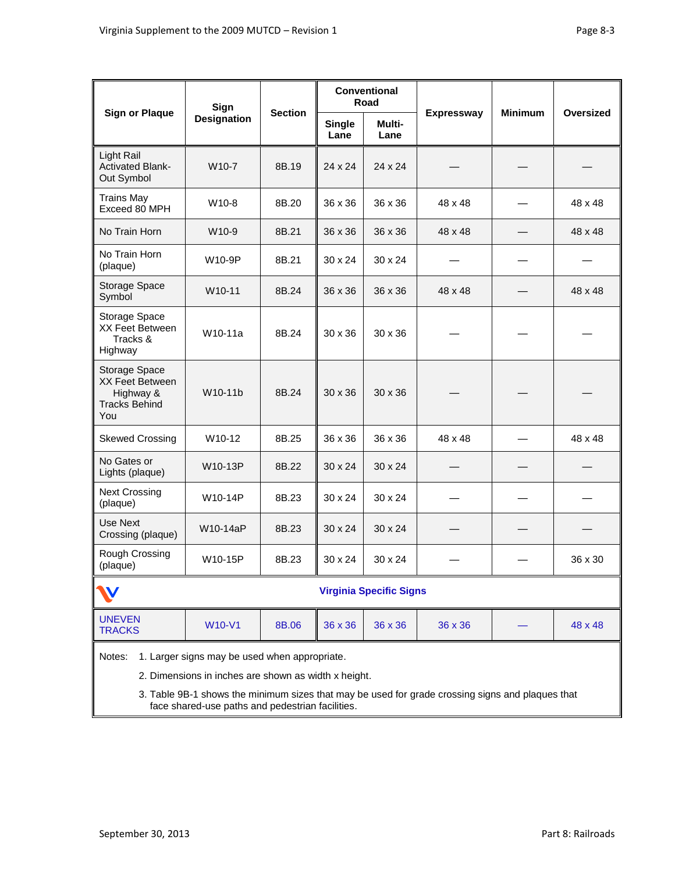| <b>Sign or Plaque</b>                                                                                                                                                                                                                                                   | Sign<br><b>Designation</b> | <b>Section</b> | Conventional<br>Road  |                |                   |                |           |  |
|-------------------------------------------------------------------------------------------------------------------------------------------------------------------------------------------------------------------------------------------------------------------------|----------------------------|----------------|-----------------------|----------------|-------------------|----------------|-----------|--|
|                                                                                                                                                                                                                                                                         |                            |                | <b>Single</b><br>Lane | Multi-<br>Lane | <b>Expressway</b> | <b>Minimum</b> | Oversized |  |
| Light Rail<br><b>Activated Blank-</b><br>Out Symbol                                                                                                                                                                                                                     | W10-7                      | 8B.19          | 24 x 24               | 24 x 24        |                   |                |           |  |
| <b>Trains May</b><br>Exceed 80 MPH                                                                                                                                                                                                                                      | W10-8                      | 8B.20          | 36 x 36               | 36 x 36        | 48 x 48           |                | 48 x 48   |  |
| No Train Horn                                                                                                                                                                                                                                                           | W10-9                      | 8B.21          | 36 x 36               | 36 x 36        | 48 x 48           |                | 48 x 48   |  |
| No Train Horn<br>(plaque)                                                                                                                                                                                                                                               | W10-9P                     | 8B.21          | $30 \times 24$        | $30 \times 24$ |                   |                |           |  |
| Storage Space<br>Symbol                                                                                                                                                                                                                                                 | W10-11                     | 8B.24          | 36 x 36               | 36 x 36        | 48 x 48           |                | 48 x 48   |  |
| Storage Space<br>XX Feet Between<br>Tracks &<br>Highway                                                                                                                                                                                                                 | W10-11a                    | 8B.24          | $30 \times 36$        | $30 \times 36$ |                   |                |           |  |
| Storage Space<br>XX Feet Between<br>Highway &<br><b>Tracks Behind</b><br>You                                                                                                                                                                                            | W10-11b                    | 8B.24          | $30 \times 36$        | $30 \times 36$ |                   |                |           |  |
| <b>Skewed Crossing</b>                                                                                                                                                                                                                                                  | W10-12                     | 8B.25          | 36 x 36               | 36 x 36        | 48 x 48           |                | 48 x 48   |  |
| No Gates or<br>Lights (plaque)                                                                                                                                                                                                                                          | W10-13P                    | 8B.22          | $30 \times 24$        | 30 x 24        |                   |                |           |  |
| <b>Next Crossing</b><br>(plaque)                                                                                                                                                                                                                                        | W10-14P                    | 8B.23          | 30 x 24               | 30 x 24        |                   |                |           |  |
| Use Next<br>Crossing (plaque)                                                                                                                                                                                                                                           | W10-14aP                   | 8B.23          | $30 \times 24$        | $30 \times 24$ |                   |                |           |  |
| Rough Crossing<br>(plaque)                                                                                                                                                                                                                                              | W10-15P                    | 8B.23          | $30 \times 24$        | 30 x 24        |                   |                | 36 x 30   |  |
| <b>Virginia Specific Signs</b>                                                                                                                                                                                                                                          |                            |                |                       |                |                   |                |           |  |
| <b>UNEVEN</b><br><b>TRACKS</b>                                                                                                                                                                                                                                          | <b>W10-V1</b>              | 8B.06          | 36 x 36               | 36 x 36        | 36 x 36           |                | 48 x 48   |  |
| 1. Larger signs may be used when appropriate.<br>Notes:<br>2. Dimensions in inches are shown as width x height.<br>3. Table 9B-1 shows the minimum sizes that may be used for grade crossing signs and plaques that<br>face shared-use paths and pedestrian facilities. |                            |                |                       |                |                   |                |           |  |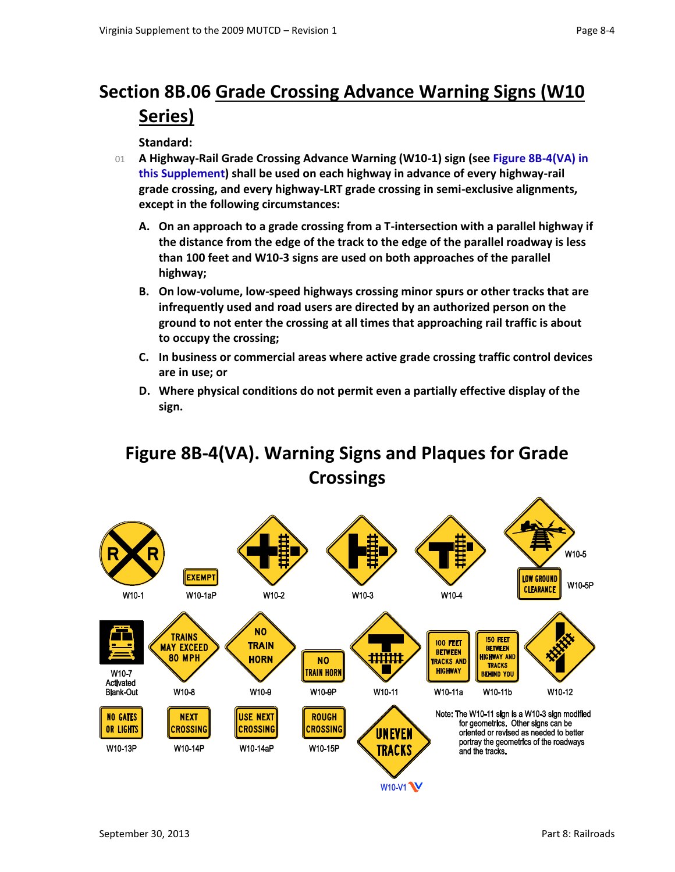# **Section 8B.06 Grade Crossing Advance Warning Signs (W10 Series)**

### **Standard:**

- 01 **A Highway-Rail Grade Crossing Advance Warning (W10-1) sign (see Figure 8B-4(VA) in this Supplement) shall be used on each highway in advance of every highway-rail grade crossing, and every highway-LRT grade crossing in semi-exclusive alignments, except in the following circumstances:**
	- **A. On an approach to a grade crossing from a T-intersection with a parallel highway if the distance from the edge of the track to the edge of the parallel roadway is less than 100 feet and W10-3 signs are used on both approaches of the parallel highway;**
	- **B. On low-volume, low-speed highways crossing minor spurs or other tracks that are infrequently used and road users are directed by an authorized person on the ground to not enter the crossing at all times that approaching rail traffic is about to occupy the crossing;**
	- **C. In business or commercial areas where active grade crossing traffic control devices are in use; or**
	- **D. Where physical conditions do not permit even a partially effective display of the sign.**

### **Figure 8B-4(VA). Warning Signs and Plaques for Grade Crossings**